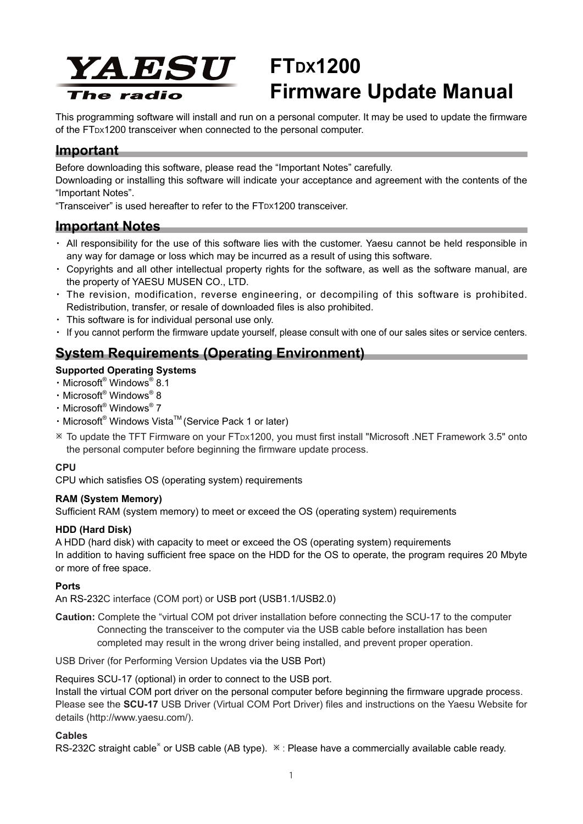

# **FTDX1200 Firmware Update Manual**

This programming software will install and run on a personal computer. It may be used to update the firmware of the FTDX1200 transceiver when connected to the personal computer.

# **Important**

Before downloading this software, please read the "Important Notes" carefully.

Downloading or installing this software will indicate your acceptance and agreement with the contents of the "Important Notes".

"Transceiver" is used hereafter to refer to the FTDX1200 transceiver.

# **Important Notes**

- ・ All responsibility for the use of this software lies with the customer. Yaesu cannot be held responsible in any way for damage or loss which may be incurred as a result of using this software.
- ・ Copyrights and all other intellectual property rights for the software, as well as the software manual, are the property of YAESU MUSEN CO., LTD.
- The revision, modification, reverse engineering, or decompiling of this software is prohibited. Redistribution, transfer, or resale of downloaded files is also prohibited.
- ・ This software is for individual personal use only.
- ・ If you cannot perform the firmware update yourself, please consult with one of our sales sites or service centers.

# **System Requirements (Operating Environment)**

## **Supported Operating Systems**

- ・Microsoft® Windows® 8.1
- ・Microsoft® Windows® 8
- ・Microsoft® Windows® 7
- Microsoft® Windows Vista™ (Service Pack 1 or later)
- ø To update the TFT Firmware on your FTDX1200, you must first install "Microsoft .NET Framework 3.5" onto the personal computer before beginning the firmware update process.

#### **CPU**

CPU which satisfies OS (operating system) requirements

## **RAM (System Memory)**

Sufficient RAM (system memory) to meet or exceed the OS (operating system) requirements

## **HDD (Hard Disk)**

A HDD (hard disk) with capacity to meet or exceed the OS (operating system) requirements In addition to having sufficient free space on the HDD for the OS to operate, the program requires 20 Mbyte or more of free space.

## **Ports**

An RS-232C interface (COM port) or USB port (USB1.1/USB2.0)

**Caution:** Complete the "virtual COM pot driver installation before connecting the SCU-17 to the computer Connecting the transceiver to the computer via the USB cable before installation has been completed may result in the wrong driver being installed, and prevent proper operation.

USB Driver (for Performing Version Updates via the USB Port)

Requires SCU-17 (optional) in order to connect to the USB port.

Install the virtual COM port driver on the personal computer before beginning the firmware upgrade process. Please see the **SCU-17** USB Driver (Virtual COM Port Driver) files and instructions on the Yaesu Website for details (http://www.yaesu.com/).

#### **Cables**

RS-232C straight cable<sup>\*</sup> or USB cable (AB type).  $*$  : Please have a commercially available cable ready.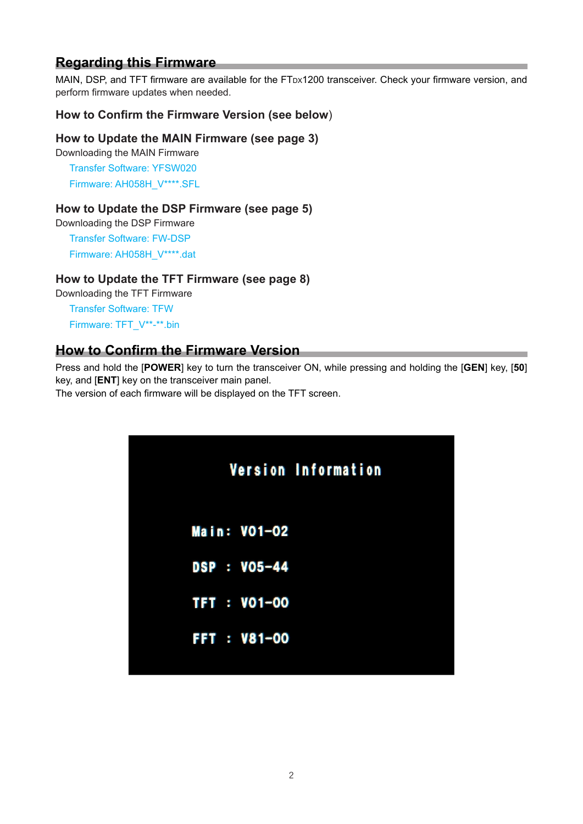# **Regarding this Firmware**

MAIN, DSP, and TFT firmware are available for the FTDx1200 transceiver. Check your firmware version, and perform firmware updates when needed.

## **How to Confirm the Firmware Version (see below**)

## **How to Update the MAIN Firmware (see page 3)**

Downloading the MAIN Firmware Transfer Software: YFSW020 Firmware: AH058H\_V\*\*\*\*.SFL

## **How to Update the DSP Firmware (see page 5)**

Downloading the DSP Firmware

Transfer Software: FW-DSP Firmware: AH058H\_V\*\*\*\*.dat

## **How to Update the TFT Firmware (see page 8)**

Downloading the TFT Firmware

Transfer Software: TFW Firmware: TFT\_V\*\*-\*\*.bin

# **How to Confirm the Firmware Version**

Press and hold the [**POWER**] key to turn the transceiver ON, while pressing and holding the [**GEN**] key, [**50**] key, and [**ENT**] key on the transceiver main panel.

The version of each firmware will be displayed on the TFT screen.

|                    | Version Information |  |
|--------------------|---------------------|--|
| Main: V01-02       |                     |  |
| DSP : VO5-44       |                     |  |
| TFT : V01-00       |                     |  |
| <b>FFT: V81-00</b> |                     |  |
|                    |                     |  |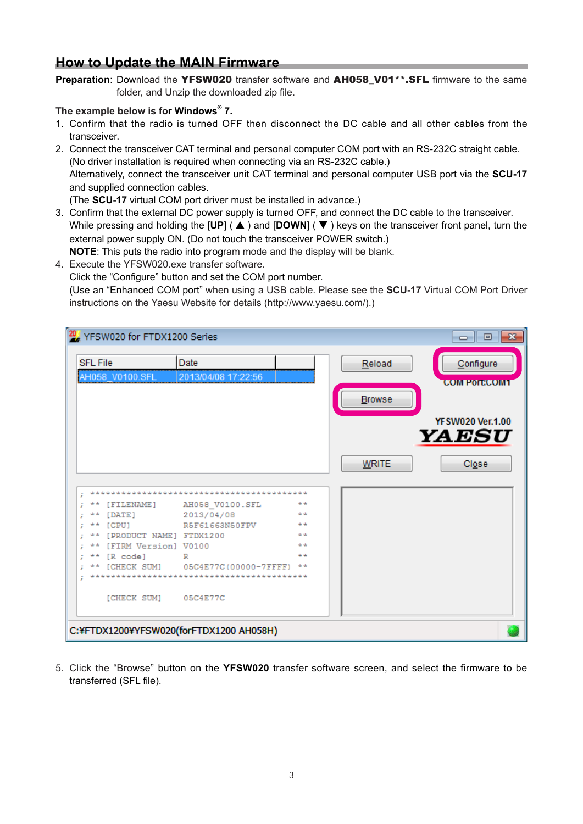# **How to Update the MAIN Firmware**

Preparation: Download the YFSW020 transfer software and AH058 V01<sup>\*\*</sup>.SFL firmware to the same folder, and Unzip the downloaded zip file.

## **The example below is for Windows® 7.**

- 1. Confirm that the radio is turned OFF then disconnect the DC cable and all other cables from the transceiver.
- 2. Connect the transceiver CAT terminal and personal computer COM port with an RS-232C straight cable. (No driver installation is required when connecting via an RS-232C cable.) Alternatively, connect the transceiver unit CAT terminal and personal computer USB port via the **SCU-17** and supplied connection cables. (The **SCU-17** virtual COM port driver must be installed in advance.)

3. Confirm that the external DC power supply is turned OFF, and connect the DC cable to the transceiver. While pressing and holding the [UP] ( **A**) and [DOWN] (**V**) keys on the transceiver front panel, turn the

external power supply ON. (Do not touch the transceiver POWER switch.)

**NOTE**: This puts the radio into program mode and the display will be blank.

4. Execute the YFSW020.exe transfer software.

Click the "Configure" button and set the COM port number.

(Use an "Enhanced COM port" when using a USB cable. Please see the **SCU-17** Virtual COM Port Driver instructions on the Yaesu Website for details (http://www.yaesu.com/).)

| 20 YFSW020 for FTDX1200 Series                                     |                               |                           |                  | $\mathbf{x}$<br>o lo                                                         |
|--------------------------------------------------------------------|-------------------------------|---------------------------|------------------|------------------------------------------------------------------------------|
| <b>SFL File</b><br>AH058_V0100.SFL                                 | Date<br>2013/04/08 17:22:56   |                           | Reload<br>Browse | Configure<br><b>COM PORTCOM1</b><br><b>YF SW020 Ver.1.00</b><br><b>YAESU</b> |
| [FILENAME]                                                         | AH058 V0100.SFL<br>2013/04/08 | بك بك<br>بك بك            | <b>WRITE</b>     | Close                                                                        |
| [DATE]<br>[CPU]<br>[PRODUCT NAME] FTDX1200<br>[FIRM Version] V0100 | R5F61663N50FPV                | بلديك<br>بقه بقه<br>بك بك |                  |                                                                              |
| [R code]<br>[CHECK SUM]                                            | R<br>05C4E77C(00000-7FFFF)    | بك بك<br>يك بك            |                  |                                                                              |
| [CHECK SUM]<br>C:¥FTDX1200¥YFSW020(forFTDX1200 AH058H)             | 05C4E77C                      |                           |                  |                                                                              |

5. Click the "Browse" button on the **YFSW020** transfer software screen, and select the firmware to be transferred (SFL file).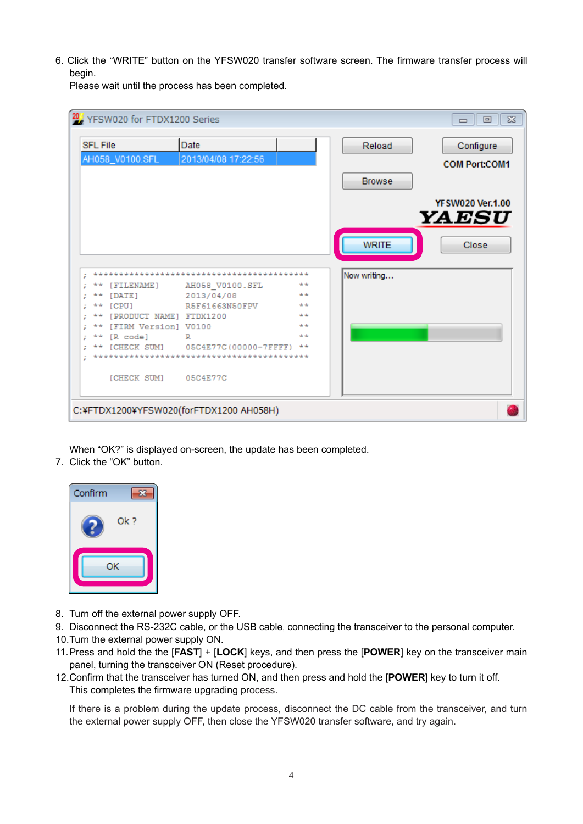6. Click the "WRITE" button on the YFSW020 transfer software screen. The firmware transfer process will begin.

Please wait until the process has been completed.

|   |                 | 20 YFSW020 for FTDX1200 Series |                                         |                                     |               | $\Sigma$<br>回<br>$\Box$           |
|---|-----------------|--------------------------------|-----------------------------------------|-------------------------------------|---------------|-----------------------------------|
|   | <b>SFL File</b> | AH058_V0100.SFL                | Date<br>2013/04/08 17:22:56             |                                     | Reload        | Configure<br><b>COM Port:COM1</b> |
|   |                 |                                |                                         |                                     | <b>Browse</b> |                                   |
|   |                 |                                |                                         |                                     |               | <b>YFSW020 Ver.1.00</b><br>YAESU  |
|   |                 |                                |                                         |                                     | <b>WRITE</b>  | Close                             |
| ÷ |                 |                                |                                         | يك بك بك بك بك بك بك بك بك بك بك بك | Now writing   |                                   |
|   |                 | [FILENAME]                     | AH058_V0100.SFL                         | بك بك                               |               |                                   |
|   |                 | [DATE]                         | 2013/04/08                              | بك بك                               |               |                                   |
|   | بك بك           | [CPU]                          | R5F61663N50FPV                          | بك بك                               |               |                                   |
|   |                 | [PRODUCT NAME] FTDX1200        |                                         | بك بك                               |               |                                   |
|   | يليا بيليا      | [FIRM Version] V0100           |                                         | بيك بيك                             |               |                                   |
|   |                 | [R code]                       | R                                       | بك بك                               |               |                                   |
|   |                 |                                | [CHECK SUM] 05C4E77C(00000-7FFFF)       | يك بك                               |               |                                   |
|   |                 |                                |                                         |                                     |               |                                   |
|   |                 | [CHECK SUM] 05C4E77C           |                                         |                                     |               |                                   |
|   |                 |                                | C:¥FTDX1200¥YFSW020(forFTDX1200 AH058H) |                                     |               |                                   |

When "OK?" is displayed on-screen, the update has been completed.

7. Click the "OK" button.



- 8. Turn off the external power supply OFF.
- 9. Disconnect the RS-232C cable, or the USB cable, connecting the transceiver to the personal computer.
- 10.Turn the external power supply ON.
- 11.Press and hold the the [**FAST**] + [**LOCK**] keys, and then press the [**POWER**] key on the transceiver main panel, turning the transceiver ON (Reset procedure).
- 12.Confirm that the transceiver has turned ON, and then press and hold the [**POWER**] key to turn it off. This completes the firmware upgrading process.

If there is a problem during the update process, disconnect the DC cable from the transceiver, and turn the external power supply OFF, then close the YFSW020 transfer software, and try again.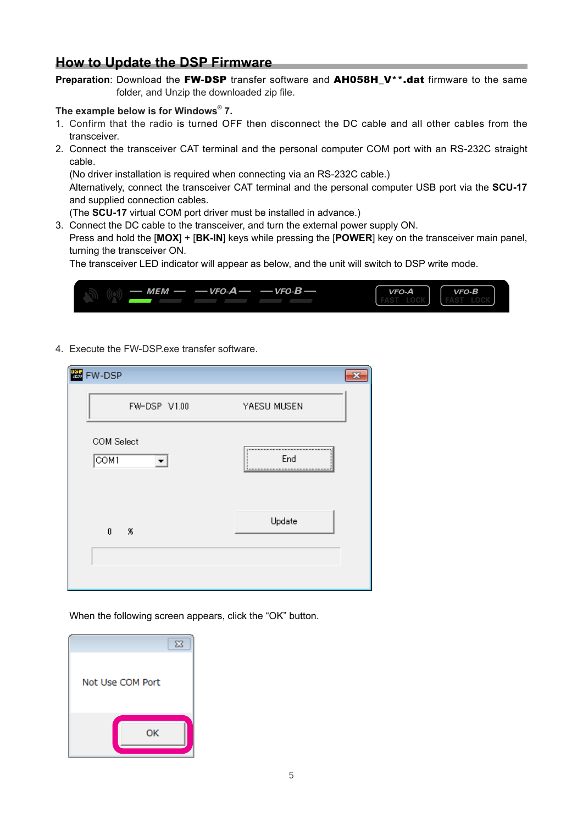# **How to Update the DSP Firmware**

Preparation: Download the FW-DSP transfer software and AH058H\_V<sup>\*\*</sup>.dat firmware to the same folder, and Unzip the downloaded zip file.

#### **The example below is for Windows® 7.**

- 1. Confirm that the radio is turned OFF then disconnect the DC cable and all other cables from the transceiver.
- 2. Connect the transceiver CAT terminal and the personal computer COM port with an RS-232C straight cable.

(No driver installation is required when connecting via an RS-232C cable.)

Alternatively, connect the transceiver CAT terminal and the personal computer USB port via the **SCU-17** and supplied connection cables.

(The **SCU-17** virtual COM port driver must be installed in advance.)

3. Connect the DC cable to the transceiver, and turn the external power supply ON.

Press and hold the [**MOX**] + [**BK-IN**] keys while pressing the [**POWER**] key on the transceiver main panel, turning the transceiver ON.

The transceiver LED indicator will appear as below, and the unit will switch to DSP write mode.

| — $MEM - - VFO-A - - VFO-B -$ | $VFO-A$ | $VFO-B$ |
|-------------------------------|---------|---------|
|                               |         |         |

4. Execute the FW-DSP.exe transfer software.

| <b>图 FW-DSP</b>                 |             |
|---------------------------------|-------------|
| FW-DSP V1.00                    | YAESU MUSEN |
| COM Select<br>$\overline{COM1}$ | End         |
| $\theta$<br>- %                 | Update      |
|                                 |             |

When the following screen appears, click the "OK" button.

| $\Sigma$         |  |
|------------------|--|
| Not Use COM Port |  |
| ОΚ               |  |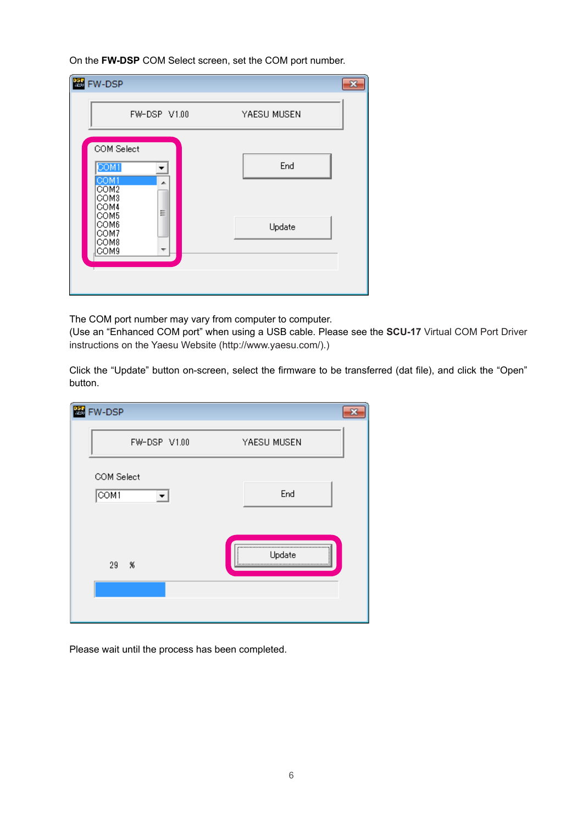On the **FW-DSP** COM Select screen, set the COM port number.

| 图 FW-DSP                                                                                                          |               |  |
|-------------------------------------------------------------------------------------------------------------------|---------------|--|
| FW-DSP V1.00                                                                                                      | YAESU MUSEN   |  |
| COM Select<br>COM1<br>COM1<br>A.<br>COM <sub>2</sub><br>COM3<br>COM4<br>Ξ<br>COM5<br>COM6<br>COM7<br>COM8<br>COM9 | End<br>Update |  |

The COM port number may vary from computer to computer.

(Use an "Enhanced COM port" when using a USB cable. Please see the **SCU-17** Virtual COM Port Driver instructions on the Yaesu Website (http://www.yaesu.com/).)

Click the "Update" button on-screen, select the firmware to be transferred (dat file), and click the "Open" button.

| <b>恶</b> FW-DSP                 |              |             |  |
|---------------------------------|--------------|-------------|--|
|                                 | FW-DSP V1.00 | YAESU MUSEN |  |
| COM Select<br>$\overline{COM1}$ |              | End         |  |
| $29 -$                          | 86           | Update<br>  |  |
|                                 |              |             |  |

Please wait until the process has been completed.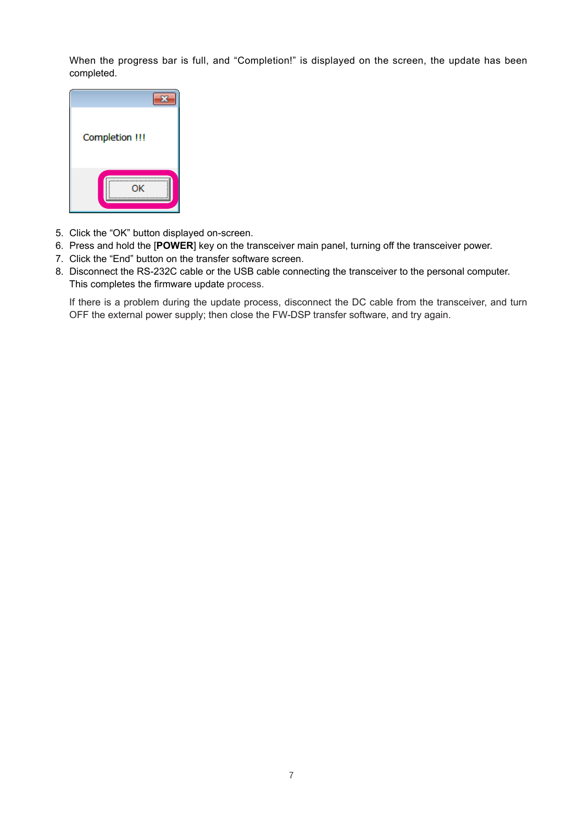When the progress bar is full, and "Completion!" is displayed on the screen, the update has been completed.



- 5. Click the "OK" button displayed on-screen.
- 6. Press and hold the [**POWER**] key on the transceiver main panel, turning off the transceiver power.
- 7. Click the "End" button on the transfer software screen.
- 8. Disconnect the RS-232C cable or the USB cable connecting the transceiver to the personal computer. This completes the firmware update process.

If there is a problem during the update process, disconnect the DC cable from the transceiver, and turn OFF the external power supply; then close the FW-DSP transfer software, and try again.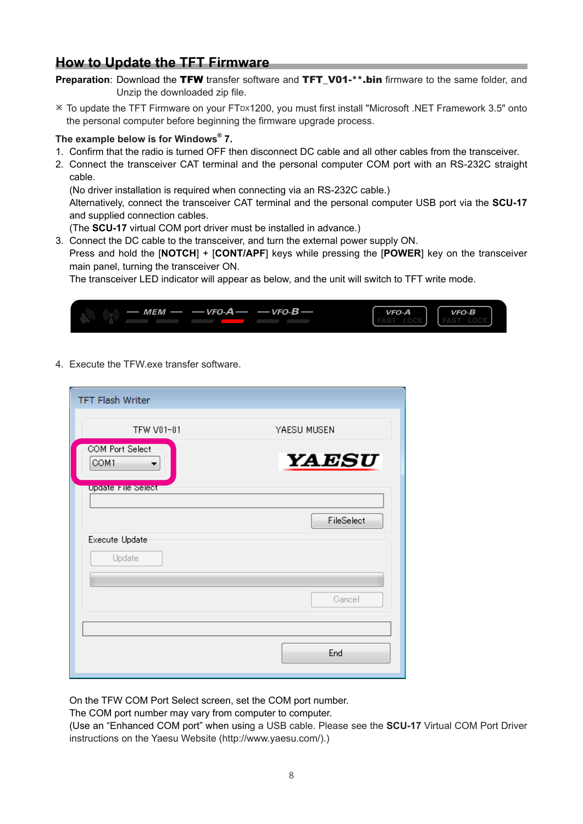# **How to Update the TFT Firmware**

- **Preparation:** Download the TFW transfer software and TFT V01-\*\*.bin firmware to the same folder, and Unzip the downloaded zip file.
- ø To update the TFT Firmware on your FTDX1200, you must first install "Microsoft .NET Framework 3.5" onto the personal computer before beginning the firmware upgrade process.

## **The example below is for Windows® 7.**

- 1. Confirm that the radio is turned OFF then disconnect DC cable and all other cables from the transceiver.
- 2. Connect the transceiver CAT terminal and the personal computer COM port with an RS-232C straight cable.

(No driver installation is required when connecting via an RS-232C cable.)

Alternatively, connect the transceiver CAT terminal and the personal computer USB port via the **SCU-17** and supplied connection cables.

(The **SCU-17** virtual COM port driver must be installed in advance.)

3. Connect the DC cable to the transceiver, and turn the external power supply ON.

Press and hold the [**NOTCH**] + [**CONT/APF**] keys while pressing the [**POWER**] key on the transceiver main panel, turning the transceiver ON.

The transceiver LED indicator will appear as below, and the unit will switch to TFT write mode.



4. Execute the TFW.exe transfer software.

| <b>TFT Flash Writer</b>         |              |
|---------------------------------|--------------|
| TFW V01-01                      | YAESU MUSEN  |
| <b>COM Port Select-</b><br>COM1 | <b>YAESU</b> |
| Update File Select              |              |
|                                 | FileSelect   |
| <b>Execute Update</b><br>Update |              |
|                                 | Cancel       |
|                                 | End          |

On the TFW COM Port Select screen, set the COM port number.

The COM port number may vary from computer to computer.

(Use an "Enhanced COM port" when using a USB cable. Please see the **SCU-17** Virtual COM Port Driver instructions on the Yaesu Website (http://www.yaesu.com/).)